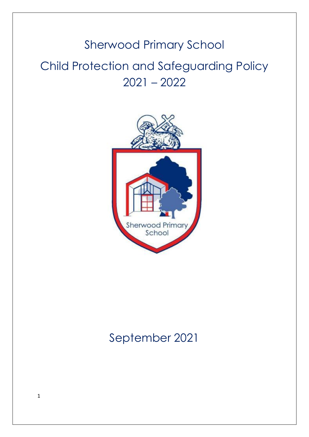### Sherwood Primary School

# Child Protection and Safeguarding Policy 2021 – 2022



# September 2021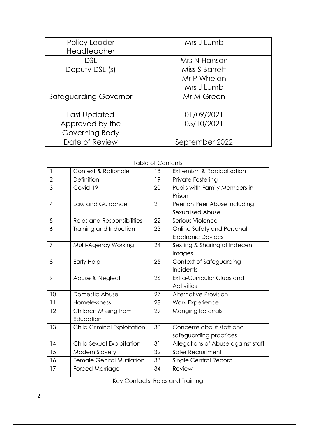| Policy Leader                | Mrs J Lumb     |
|------------------------------|----------------|
| Headteacher                  |                |
| <b>DSL</b>                   | Mrs N Hanson   |
| Deputy DSL (s)               | Miss S Barrett |
|                              | Mr P Whelan    |
|                              | Mrs J Lumb     |
| <b>Safeguarding Governor</b> | Mr M Green     |
|                              |                |
| Last Updated                 | 01/09/2021     |
| Approved by the              | 05/10/2021     |
| Governing Body               |                |
| Date of Review               | September 2022 |

| <b>Table of Contents</b>         |                                    |    |                                    |  |
|----------------------------------|------------------------------------|----|------------------------------------|--|
| 1                                | Context & Rationale                | 18 | Extremism & Radicalisation         |  |
| $\overline{2}$                   | Definition                         | 19 | Private Fostering                  |  |
| 3                                | Covid-19                           | 20 | Pupils with Family Members in      |  |
|                                  |                                    |    | Prison                             |  |
| $\overline{4}$                   | Law and Guidance                   | 21 | Peer on Peer Abuse including       |  |
|                                  |                                    |    | Sexualised Abuse                   |  |
| 5                                | Roles and Responsibilities         | 22 | Serious Violence                   |  |
| 6                                | Training and Induction             | 23 | Online Safety and Personal         |  |
|                                  |                                    |    | <b>Electronic Devices</b>          |  |
| $\overline{7}$                   | Multi-Agency Working               | 24 | Sexting & Sharing of Indecent      |  |
|                                  |                                    |    | Images                             |  |
| 8                                | <b>Early Help</b>                  | 25 | Context of Safeguarding            |  |
|                                  |                                    |    | Incidents                          |  |
| 9                                | Abuse & Neglect                    | 26 | Extra-Curricular Clubs and         |  |
|                                  |                                    |    | <b>Activities</b>                  |  |
| 10                               | Domestic Abuse                     | 27 | Alternative Provision              |  |
| 11                               | Homelessness                       | 28 | <b>Work Experience</b>             |  |
| 12                               | Children Missing from              | 29 | <b>Manging Referrals</b>           |  |
|                                  | Education                          |    |                                    |  |
| 13                               | <b>Child Criminal Exploitation</b> | 30 | Concerns about staff and           |  |
|                                  |                                    |    | safeguarding practices             |  |
| 14                               | Child Sexual Exploitation          | 31 | Allegations of Abuse against staff |  |
| 15                               | Modern Slavery                     | 32 | Safer Recruitment                  |  |
| 16                               | <b>Female Genital Mutilation</b>   | 33 | Single Central Record              |  |
| 17                               | <b>Forced Marriage</b>             | 34 | Review                             |  |
| Key Contacts. Roles and Training |                                    |    |                                    |  |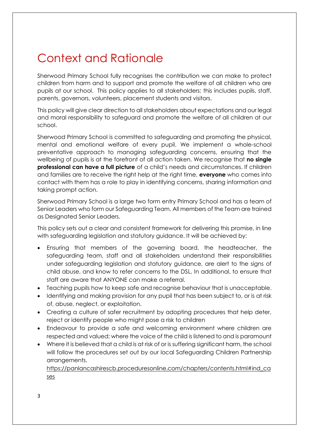# Context and Rationale

Sherwood Primary School fully recognises the contribution we can make to protect children from harm and to support and promote the welfare of all children who are pupils at our school. This policy applies to all stakeholders; this includes pupils, staff, parents, governors, volunteers, placement students and visitors.

This policy will give clear direction to all stakeholders about expectations and our legal and moral responsibility to safeguard and promote the welfare of all children at our school.

Sherwood Primary School is committed to safeguarding and promoting the physical, mental and emotional welfare of every pupil. We implement a whole-school preventative approach to managing safeguarding concerns, ensuring that the wellbeing of pupils is at the forefront of all action taken. We recognise that **no single professional can have a full picture** of a child's needs and circumstances. If children and families are to receive the right help at the right time, **everyone** who comes into contact with them has a role to play in identifying concerns, sharing information and taking prompt action.

Sherwood Primary School is a large two form entry Primary School and has a team of Senior Leaders who form our Safeguarding Team. All members of the Team are trained as Designated Senior Leaders.

This policy sets out a clear and consistent framework for delivering this promise, in line with safeguarding legislation and statutory guidance. It will be achieved by:

- Ensuring that members of the governing board, the headteacher, the safeguarding team, staff and all stakeholders understand their responsibilities under safeguarding legislation and statutory guidance, are alert to the signs of child abuse, and know to refer concerns to the DSL. In additional, to ensure that staff are aware that ANYONE can make a referral.
- Teaching pupils how to keep safe and recognise behaviour that is unacceptable.
- Identifying and making provision for any pupil that has been subject to, or is at risk of, abuse, neglect, or exploitation.
- Creating a culture of safer recruitment by adopting procedures that help deter, reject or identify people who might pose a risk to children
- Endeavour to provide a safe and welcoming environment where children are respected and valued; where the voice of the child is listened to and is paramount
- Where it is believed that a child is at risk of or is suffering significant harm, the school will follow the procedures set out by our local Safeguarding Children Partnership arrangements. [https://panlancashirescb.proceduresonline.com/chapters/contents.html#ind\\_ca](https://panlancashirescb.proceduresonline.com/chapters/contents.html#ind_cases)

[ses](https://panlancashirescb.proceduresonline.com/chapters/contents.html#ind_cases)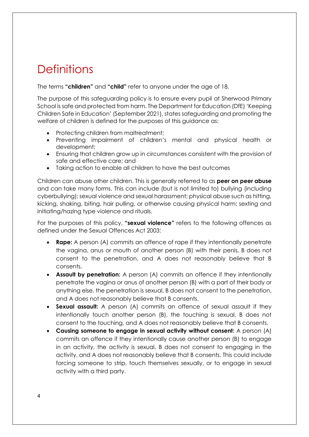# **Definitions**

The terms **"children"** and **"child"** refer to anyone under the age of 18.

The purpose of this safeguarding policy is to ensure every pupil at Sherwood Primary School is safe and protected from harm. The Department for Education (DfE) 'Keeping Children Safe in Education' (September 2021), states safeguarding and promoting the welfare of children is defined for the purposes of this guidance as:

- Protecting children from maltreatment;
- Preventing impairment of children's mental and physical health or development;
- Ensuring that children grow up in circumstances consistent with the provision of safe and effective care; and
- Taking action to enable all children to have the best outcomes

Children can abuse other children. This is generally referred to as **peer on peer abuse** and can take many forms. This can include (but is not limited to) bullying (including cyberbullying); sexual violence and sexual harassment; physical abuse such as hitting, kicking, shaking, biting, hair pulling, or otherwise causing physical harm; sexting and initiating/hazing type violence and rituals.

For the purposes of this policy, **"sexual violence"** refers to the following offences as defined under the Sexual Offences Act 2003:

- **Rape:** A person (A) commits an offence of rape if they intentionally penetrate the vagina, anus or mouth of another person (B) with their penis, B does not consent to the penetration, and A does not reasonably believe that B consents.
- **Assault by penetration:** A person (A) commits an offence if they intentionally penetrate the vagina or anus of another person (B) with a part of their body or anything else, the penetration is sexual, B does not consent to the penetration, and A does not reasonably believe that B consents.
- **Sexual assault:** A person (A) commits an offence of sexual assault if they intentionally touch another person (B), the touching is sexual, B does not consent to the touching, and A does not reasonably believe that B consents.
- **Causing someone to engage in sexual activity without consent:** A person (A) commits an offence if they intentionally cause another person (B) to engage in an activity, the activity is sexual, B does not consent to engaging in the activity, and A does not reasonably believe that B consents. This could include forcing someone to strip, touch themselves sexually, or to engage in sexual activity with a third party.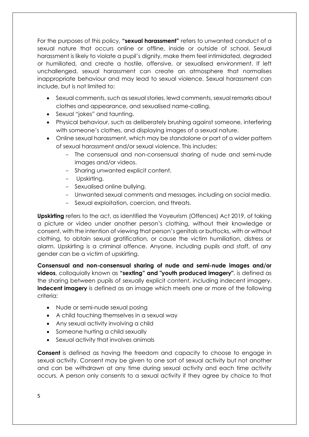For the purposes of this policy, **"sexual harassment"** refers to unwanted conduct of a sexual nature that occurs online or offline, inside or outside of school. Sexual harassment is likely to violate a pupil's dignity, make them feel intimidated, degraded or humiliated, and create a hostile, offensive, or sexualised environment. If left unchallenged, sexual harassment can create an atmosphere that normalises inappropriate behaviour and may lead to sexual violence. Sexual harassment can include, but is not limited to:

- Sexual comments, such as sexual stories, lewd comments, sexual remarks about clothes and appearance, and sexualised name-calling.
- Sexual "jokes" and taunting.
- Physical behaviour, such as deliberately brushing against someone, interfering with someone's clothes, and displaying images of a sexual nature.
- Online sexual harassment, which may be standalone or part of a wider pattern of sexual harassment and/or sexual violence. This includes:
	- The consensual and non-consensual sharing of nude and semi-nude images and/or videos.
	- Sharing unwanted explicit content.
	- Upskirting.
	- Sexualised online bullying.
	- Unwanted sexual comments and messages, including on social media.
	- Sexual exploitation, coercion, and threats.

**Upskirting** refers to the act, as identified the Voyeurism (Offences) Act 2019, of taking a picture or video under another person's clothing, without their knowledge or consent, with the intention of viewing that person's genitals or buttocks, with or without clothing, to obtain sexual gratification, or cause the victim humiliation, distress or alarm. Upskirting is a criminal offence. Anyone, including pupils and staff, of any gender can be a victim of upskirting.

**Consensual and non-consensual sharing of nude and semi-nude images and/or videos**, colloquially known as **"sexting" and "youth produced imagery"**, is defined as the sharing between pupils of sexually explicit content, including indecent imagery. **Indecent imagery** is defined as an image which meets one or more of the following criteria:

- Nude or semi-nude sexual posing
- A child touching themselves in a sexual way
- Any sexual activity involving a child
- Someone hurting a child sexually
- Sexual activity that involves animals

**Consent** is defined as having the freedom and capacity to choose to engage in sexual activity. Consent may be given to one sort of sexual activity but not another and can be withdrawn at any time during sexual activity and each time activity occurs. A person only consents to a sexual activity if they agree by choice to that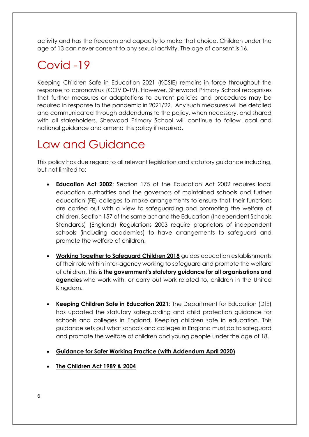activity and has the freedom and capacity to make that choice. Children under the age of 13 can never consent to any sexual activity. The age of consent is 16.

# Covid -19

Keeping Children Safe in Education 2021 (KCSIE) remains in force throughout the response to coronavirus (COVID-19). However, Sherwood Primary School recognises that further measures or adaptations to current policies and procedures may be required in response to the pandemic in 2021/22. Any such measures will be detailed and communicated through addendums to the policy, when necessary, and shared with all stakeholders. Sherwood Primary School will continue to follow local and national guidance and amend this policy if required.

# Law and Guidance

This policy has due regard to all relevant legislation and statutory guidance including, but not limited to:

- **[Education Act 2002](http://www.legislation.gov.uk/ukpga/2002/32/contents)**: Section 175 of the Education Act 2002 requires local education authorities and the governors of maintained schools and further education (FE) colleges to make arrangements to ensure that their functions are carried out with a view to safeguarding and promoting the welfare of children. Section 157 of the same act and the Education (Independent Schools Standards) (England) Regulations 2003 require proprietors of independent schools (including academies) to have arrangements to safeguard and promote the welfare of children.
- **[Working Together to Safeguard Children 2018](https://www.gov.uk/government/publications/working-together-to-safeguard-children--2)** guides education establishments of their role within inter-agency working to safeguard and promote the welfare of children. This is **the government's statutory guidance for all organisations and agencies** who work with, or carry out work related to, children in the United Kingdom.
- **[Keeping Children Safe in Education 2021](https://assets.publishing.service.gov.uk/government/uploads/system/uploads/attachment_data/file/892394/Keeping_children_safe_in_education_2020.pdf)**: The Department for Education (DfE) has updated the statutory safeguarding and child protection guidance for schools and colleges in England, Keeping children safe in education. This guidance sets out what schools and colleges in England must do to safeguard and promote the welfare of children and young people under the age of 18.
- **[Guidance for Safer Working Practice \(with Addendum April 2020\)](https://www.saferrecruitmentconsortium.org/GSWP%20COVID%20addendum%20April%202020%20final-1.pdf)**
- **[The Children Act 1989](http://www.legislation.gov.uk/ukpga/1989/41/contents) & 2004**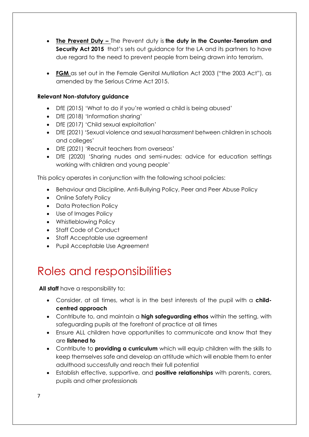- **The Prevent Duty –** The Prevent duty is **the duty in the Counter-Terrorism and Security Act 2015** that's sets out quidance for the LA and its partners to have due regard to the need to prevent people from being drawn into terrorism.
- **FGM** as set out in the Female Genital Mutilation Act 2003 ("the 2003 Act"), as amended by the Serious Crime Act 2015.

#### **Relevant Non-statutory guidance**

- DfE (2015) 'What to do if you're worried a child is being abused'
- DfE (2018) 'Information sharing'
- DfE (2017) 'Child sexual exploitation'
- DfE (2021) 'Sexual violence and sexual harassment between children in schools and colleges'
- DfE (2021) 'Recruit teachers from overseas'
- DfE (2020) 'Sharing nudes and semi-nudes: advice for education settings working with children and young people'

This policy operates in conjunction with the following school policies:

- Behaviour and Discipline, Anti-Bullying Policy, Peer and Peer Abuse Policy
- Online Safety Policy
- Data Protection Policy
- Use of Images Policy
- Whistleblowing Policy
- Staff Code of Conduct
- Staff Acceptable use agreement
- Pupil Acceptable Use Agreement

# Roles and responsibilities

**All staff** have a responsibility to:

- Consider, at all times, what is in the best interests of the pupil with a **childcentred approach**
- Contribute to, and maintain a **high safeguarding ethos** within the setting, with safeguarding pupils at the forefront of practice at all times
- Ensure ALL children have opportunities to communicate and know that they are **listened to**
- Contribute to **providing a curriculum** which will equip children with the skills to keep themselves safe and develop an attitude which will enable them to enter adulthood successfully and reach their full potential
- Establish effective, supportive, and **positive relationships** with parents, carers, pupils and other professionals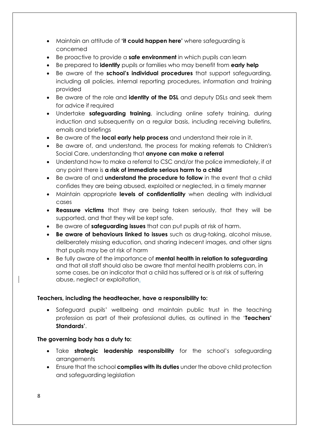- Maintain an attitude of **'it could happen here'** where safeguarding is concerned
- Be proactive to provide a **safe environment** in which pupils can learn
- Be prepared to **identify** pupils or families who may benefit from **early help**
- Be aware of the **school's individual procedures** that support safeguarding, including all policies, internal reporting procedures, information and training provided
- Be aware of the role and **identity of the DSL** and deputy DSLs and seek them for advice if required
- Undertake **safeguarding training**, including online safety training, during induction and subsequently on a regular basis, including receiving bulletins, emails and briefings
- Be aware of the **local early help process** and understand their role in it.
- Be aware of, and understand, the process for making referrals to Children's Social Care, understanding that **anyone can make a referral**
- Understand how to make a referral to CSC and/or the police immediately, if at any point there is **a risk of immediate serious harm to a child**
- Be aware of and **understand the procedure to follow** in the event that a child confides they are being abused, exploited or neglected, in a timely manner
- Maintain appropriate **levels of confidentiality** when dealing with individual cases
- **Reassure victims** that they are being taken seriously, that they will be supported, and that they will be kept safe.
- Be aware of **safeguarding issues** that can put pupils at risk of harm.
- **Be aware of behaviours linked to issues** such as drug-taking, alcohol misuse, deliberately missing education, and sharing indecent images, and other signs that pupils may be at risk of harm
- Be fully aware of the importance of **mental health in relation to safeguarding** and that all staff should also be aware that mental health problems can, in some cases, be an indicator that a child has suffered or is at risk of suffering abuse, neglect or exploitation.

#### **Teachers, including the headteacher, have a responsibility to:**

Safeguard pupils' wellbeing and maintain public trust in the teaching profession as part of their professional duties, as outlined in the '**Teachers' Standards'**.

### **The governing body has a duty to:**

- Take **strategic leadership responsibility** for the school's safeguarding arrangements
- Ensure that the school **complies with its duties** under the above child protection and safeguarding legislation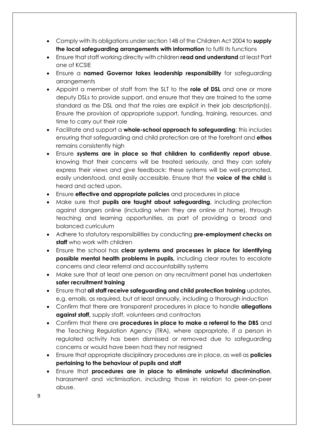- Comply with its obligations under section 14B of the Children Act 2004 to **supply the local safeguarding arrangements with information** to fulfil its functions
- Ensure that staff working directly with children **read and understand** at least Part one of KCSIE
- Ensure a **named Governor takes leadership responsibility** for safeguarding arrangements
- Appoint a member of staff from the SLT to the **role of DSL** and one or more deputy DSLs to provide support, and ensure that they are trained to the same standard as the DSL and that the roles are explicit in their job description(s). Ensure the provision of appropriate support, funding, training, resources, and time to carry out their role
- Facilitate and support a **whole-school approach to safeguarding**; this includes ensuring that safeguarding and child protection are at the forefront and **ethos** remains consistently high
- Ensure **systems are in place so that children to confidently report abuse**, knowing that their concerns will be treated seriously, and they can safely express their views and give feedback; these systems will be well-promoted, easily understood, and easily accessible. Ensure that the **voice of the child** is heard and acted upon.
- Ensure **effective and appropriate policies** and procedures in place
- Make sure that **pupils are taught about safeguarding**, including protection against dangers online (including when they are online at home), through teaching and learning opportunities, as part of providing a broad and balanced curriculum
- Adhere to statutory responsibilities by conducting **pre-employment checks on staff** who work with children
- Ensure the school has **clear systems and processes in place for identifying possible mental health problems in pupils,** including clear routes to escalate concerns and clear referral and accountability systems
- Make sure that at least one person on any recruitment panel has undertaken **safer recruitment training**
- Ensure that **all staff receive safeguarding and child protection training** updates, e.g. emails, as required, but at least annually, including a thorough induction
- Confirm that there are transparent procedures in place to handle **allegations against staff,** supply staff, volunteers and contractors
- Confirm that there are **procedures in place to make a referral to the DBS** and the Teaching Regulation Agency (TRA), where appropriate, if a person in regulated activity has been dismissed or removed due to safeguarding concerns or would have been had they not resigned
- Ensure that appropriate disciplinary procedures are in place, as well as **policies pertaining to the behaviour of pupils and staff**
- Ensure that **procedures are in place to eliminate unlawful discrimination**, harassment and victimisation, including those in relation to peer-on-peer abuse.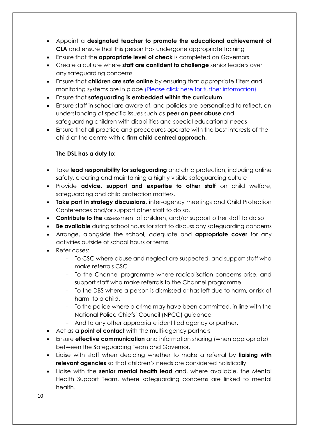- Appoint a **designated teacher to promote the educational achievement of CLA** and ensure that this person has undergone appropriate training
- Ensure that the **appropriate level of check** is completed on Governors
- Create a culture where **staff are confident to challenge** senior leaders over any safeguarding concerns
- Ensure that **children are safe online** by ensuring that appropriate filters and monitoring systems are in place [\(Please click here for further information\)](http://www.sherwood.lancs.sch.uk/page/online-safety/34061)
- Ensure that **safeguarding is embedded within the curriculum**
- Ensure staff in school are aware of, and policies are personalised to reflect, an understanding of specific issues such as **peer on peer abuse** and safeguarding children with disabilities and special educational needs
- Ensure that all practice and procedures operate with the best interests of the child at the centre with a **firm child centred approach.**

### **The DSL has a duty to:**

- Take **lead responsibility for safeguarding** and child protection, including online safety, creating and maintaining a highly visible safeguarding culture
- Provide **advice, support and expertise to other staff** on child welfare, safeguarding and child protection matters.
- **Take part in strategy discussions,** inter-agency meetings and Child Protection Conferences and/or support other staff to do so.
- **Contribute to the** assessment of children, and/or support other staff to do so
- **Be available** during school hours for staff to discuss any safeguarding concerns
- Arrange, alongside the school, adequate and **appropriate cover** for any activities outside of school hours or terms.
- Refer cases:
	- To CSC where abuse and neglect are suspected, and support staff who make referrals CSC
	- To the Channel programme where radicalisation concerns arise, and support staff who make referrals to the Channel programme
	- To the DBS where a person is dismissed or has left due to harm, or risk of harm, to a child.
	- To the police where a crime may have been committed, in line with the National Police Chiefs' Council (NPCC) guidance
	- And to any other appropriate identified agency or partner.
- Act as a **point of contact** with the multi-agency partners
- Ensure **effective communication** and information sharing (when appropriate) between the Safeguarding Team and Governor.
- Liaise with staff when deciding whether to make a referral by **liaising with relevant agencies** so that children's needs are considered holistically
- Liaise with the **senior mental health lead** and, where available, the Mental Health Support Team, where safeguarding concerns are linked to mental health.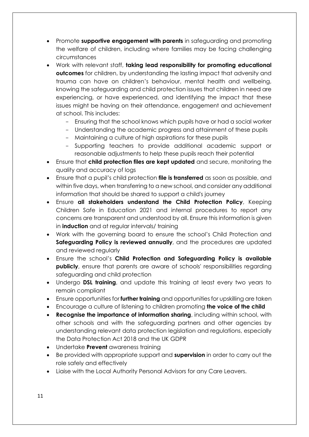- Promote **supportive engagement with parents** in safeguarding and promoting the welfare of children, including where families may be facing challenging circumstances
- Work with relevant staff, **taking lead responsibility for promoting educational outcomes** for children, by understanding the lasting impact that adversity and trauma can have on children's behaviour, mental health and wellbeing, knowing the safeguarding and child protection issues that children in need are experiencing, or have experienced, and identifying the impact that these issues might be having on their attendance, engagement and achievement at school. This includes:
	- Ensuring that the school knows which pupils have or had a social worker
	- Understanding the academic progress and attainment of these pupils
	- Maintaining a culture of high aspirations for these pupils
	- Supporting teachers to provide additional academic support or reasonable adjustments to help these pupils reach their potential
- Ensure that **child protection files are kept updated** and secure, monitoring the quality and accuracy of logs
- Ensure that a pupil's child protection **file is transferred** as soon as possible, and within five days, when transferring to a new school, and consider any additional information that should be shared to support a child's journey
- Ensure **all stakeholders understand the Child Protection Policy**, Keeping Children Safe in Education 2021 and internal procedures to report any concerns are transparent and understood by all. Ensure this information is given in **induction** and at regular intervals/ training
- Work with the governing board to ensure the school's Child Protection and **Safeguarding Policy is reviewed annually**, and the procedures are updated and reviewed regularly
- Ensure the school's **Child Protection and Safeguarding Policy is available publicly**, ensure that parents are aware of schools' responsibilities regarding safeguarding and child protection
- Undergo **DSL training**, and update this training at least every two years to remain compliant
- Ensure opportunities for **further training** and opportunities for upskilling are taken
- Encourage a culture of listening to children promoting **the voice of the child**
- **Recognise the importance of information sharing**, including within school, with other schools and with the safeguarding partners and other agencies by understanding relevant data protection legislation and regulations, especially the Data Protection Act 2018 and the UK GDPR
- Undertake **Prevent** awareness training
- Be provided with appropriate support and **supervision** in order to carry out the role safely and effectively
- Liaise with the Local Authority Personal Advisors for any Care Leavers.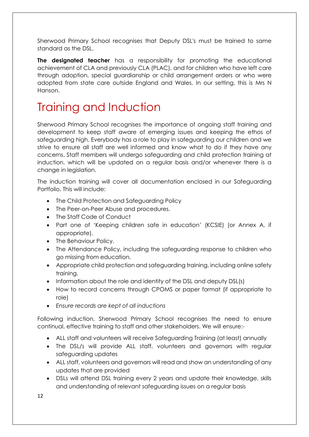Sherwood Primary School recognises that Deputy DSL's must be trained to same standard as the DSL.

**The designated teacher** has a responsibility for promoting the educational achievement of CLA and previously CLA (PLAC), and for children who have left care through adoption, special guardianship or child arrangement orders or who were adopted from state care outside England and Wales. In our setting, this is Mrs N Hanson.

# Training and Induction

Sherwood Primary School recognises the importance of ongoing staff training and development to keep staff aware of emerging issues and keeping the ethos of safeguarding high. Everybody has a role to play in safeguarding our children and we strive to ensure all staff are well informed and know what to do if they have any concerns. Staff members will undergo safeguarding and child protection training at induction, which will be updated on a regular basis and/or whenever there is a change in legislation.

The induction training will cover all documentation enclosed in our Safeguarding Portfolio. This will include:

- The Child Protection and Safeguarding Policy
- The Peer-on-Peer Abuse and procedures.
- The Staff Code of Conduct
- Part one of 'Keeping children safe in education' (KCSIE) (or Annex A, if appropriate).
- The Behaviour Policy.
- The Attendance Policy, including the safeguarding response to children who go missing from education.
- Appropriate child protection and safeguarding training, including online safety training.
- Information about the role and identity of the DSL and deputy DSL(s)
- How to record concerns through CPOMS or paper format (if appropriate to role)
- *Ensure records are kept of all inductions*

Following induction, Sherwood Primary School recognises the need to ensure continual, effective training to staff and other stakeholders. We will ensure:-

- ALL staff and volunteers will receive Safequarding Training (at least) annually
- The DSL/s will provide ALL staff, volunteers and governors with regular safeguarding updates
- ALL staff, volunteers and governors will read and show an understanding of any updates that are provided
- DSLs will attend DSL training every 2 years and update their knowledge, skills and understanding of relevant safeguarding issues on a regular basis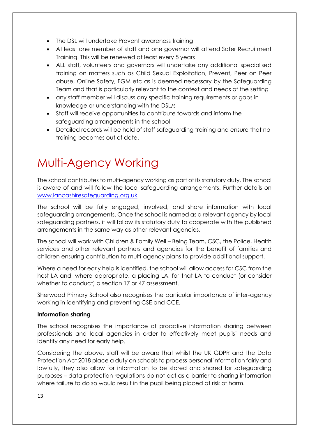- The DSL will undertake Prevent awareness training
- At least one member of staff and one governor will attend Safer Recruitment Training. This will be renewed at least every 5 years
- ALL staff, volunteers and governors will undertake any additional specialised training on matters such as Child Sexual Exploitation, Prevent, Peer on Peer abuse, Online Safety, FGM etc as is deemed necessary by the Safeguarding Team and that is particularly relevant to the context and needs of the setting
- any staff member will discuss any specific training requirements or gaps in knowledge or understanding with the DSL/s
- Staff will receive opportunities to contribute towards and inform the safeguarding arrangements in the school
- Detailed records will be held of staff safeguarding training and ensure that no training becomes out of date.

# Multi-Agency Working

The school contributes to multi-agency working as part of its statutory duty. The school is aware of and will follow the local safeguarding arrangements. Further details on [www.lancashiresafeguarding.org.uk](http://www.lancashiresafeguarding.org.uk/)

The school will be fully engaged, involved, and share information with local safeguarding arrangements. Once the school is named as a relevant agency by local safeguarding partners, it will follow its statutory duty to cooperate with the published arrangements in the same way as other relevant agencies.

The school will work with Children & Family Well – Being Team, CSC, the Police, Health services and other relevant partners and agencies for the benefit of families and children ensuring contribution to multi-agency plans to provide additional support.

Where a need for early help is identified, the school will allow access for CSC from the host LA and, where appropriate, a placing LA, for that LA to conduct (or consider whether to conduct) a section 17 or 47 assessment.

Sherwood Primary School also recognises the particular importance of inter-agency working in identifying and preventing CSE and CCE.

#### **Information sharing**

The school recognises the importance of proactive information sharing between professionals and local agencies in order to effectively meet pupils' needs and identify any need for early help.

Considering the above, staff will be aware that whilst the UK GDPR and the Data Protection Act 2018 place a duty on schools to process personal information fairly and lawfully, they also allow for information to be stored and shared for safeguarding purposes – data protection regulations do not act as a barrier to sharing information where failure to do so would result in the pupil being placed at risk of harm.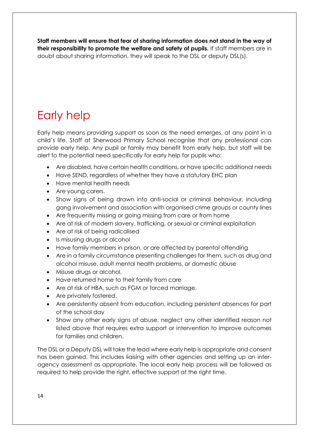**Staff members will ensure that fear of sharing information does not stand in the way of their responsibility to promote the welfare and safety of pupils.** If staff members are in doubt about sharing information, they will speak to the DSL or deputy DSL(s).

# Early help

Early help means providing support as soon as the need emerges, at any point in a child's life. Staff at Sherwood Primary School recognise that any professional can provide early help. Any pupil or family may benefit from early help, but staff will be alert to the potential need specifically for early help for pupils who:

- Are disabled, have certain health conditions, or have specific additional needs
- Have SEND, regardless of whether they have a statutory EHC plan
- Have mental health needs
- Are young carers.
- Show signs of being drawn into anti-social or criminal behaviour, including gang involvement and association with organised crime groups or county lines
- Are frequently missing or going missing from care or from home
- Are at risk of modern slavery, trafficking, or sexual or criminal exploitation
- Are at risk of being radicalised
- Is misusing drugs or alcohol
- Have family members in prison, or are affected by parental offending
- Are in a family circumstance presenting challenges for them, such as drug and alcohol misuse, adult mental health problems, or domestic abuse
- Misuse drugs or alcohol.
- Have returned home to their family from care
- Are at risk of HBA, such as FGM or forced marriage.
- Are privately fostered.
- Are persistently absent from education, including persistent absences for part of the school day
- Show any other early signs of abuse, neglect any other identified reason not listed above that requires extra support or intervention to improve outcomes for families and children.

The DSL or a Deputy DSL will take the lead where early help is appropriate and consent has been gained. This includes liaising with other agencies and setting up an interagency assessment as appropriate. The local early help process will be followed as required to help provide the right, effective support at the right time.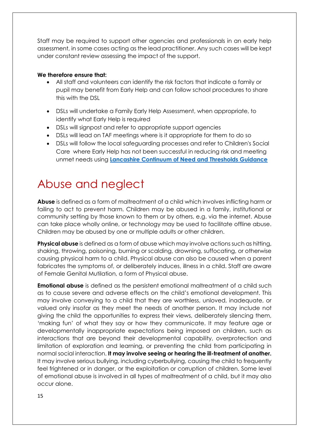Staff may be required to support other agencies and professionals in an early help assessment, in some cases acting as the lead practitioner. Any such cases will be kept under constant review assessing the impact of the support.

#### **We therefore ensure that:**

- All staff and volunteers can identify the risk factors that indicate a family or pupil may benefit from Early Help and can follow school procedures to share this with the DSL
- DSLs will undertake a Family Early Help Assessment, when appropriate, to identify what Early Help is required
- DSLs will signpost and refer to appropriate support agencies
- DSLs will lead on TAF meetings where is it appropriate for them to do so
- DSLs will follow the local safeguarding processes and refer to Children's Social Care where Early Help has not been successful in reducing risk and meeting unmet needs using **[Lancashire Continuum of Need and Thresholds Guidance](http://www.lancashiresafeguarding.org.uk/resources/assessment-and-referral.aspx)**

### Abuse and neglect

**Abuse** is defined as a form of maltreatment of a child which involves inflicting harm or failing to act to prevent harm. Children may be abused in a family, institutional or community setting by those known to them or by others, e.g. via the internet. Abuse can take place wholly online, or technology may be used to facilitate offline abuse. Children may be abused by one or multiple adults or other children.

**Physical abuse** is defined as a form of abuse which may involve actions such as hitting, shaking, throwing, poisoning, burning or scalding, drowning, suffocating, or otherwise causing physical harm to a child. Physical abuse can also be caused when a parent fabricates the symptoms of, or deliberately induces, illness in a child. Staff are aware of Female Genital Mutilation, a form of Physical abuse.

**Emotional abuse** is defined as the persistent emotional maltreatment of a child such as to cause severe and adverse effects on the child's emotional development. This may involve conveying to a child that they are worthless, unloved, inadequate, or valued only insofar as they meet the needs of another person. It may include not giving the child the opportunities to express their views, deliberately silencing them, 'making fun' of what they say or how they communicate. It may feature age or developmentally inappropriate expectations being imposed on children, such as interactions that are beyond their developmental capability, overprotection and limitation of exploration and learning, or preventing the child from participating in normal social interaction. **It may involve seeing or hearing the ill-treatment of another.** It may involve serious bullying, including cyberbullying, causing the child to frequently feel frightened or in danger, or the exploitation or corruption of children. Some level of emotional abuse is involved in all types of maltreatment of a child, but it may also occur alone.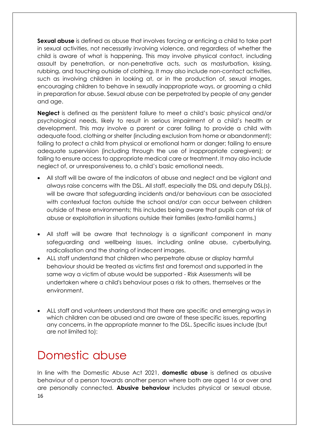**Sexual abuse** is defined as abuse that involves forcing or enticing a child to take part in sexual activities, not necessarily involving violence, and regardless of whether the child is aware of what is happening. This may involve physical contact, including assault by penetration, or non-penetrative acts, such as masturbation, kissing, rubbing, and touching outside of clothing. It may also include non-contact activities, such as involving children in looking at, or in the production of, sexual images, encouraging children to behave in sexually inappropriate ways, or grooming a child in preparation for abuse. Sexual abuse can be perpetrated by people of any gender and age.

**Neglect** is defined as the persistent failure to meet a child's basic physical and/or psychological needs, likely to result in serious impairment of a child's health or development. This may involve a parent or carer failing to provide a child with adequate food, clothing or shelter (including exclusion from home or abandonment); failing to protect a child from physical or emotional harm or danger; failing to ensure adequate supervision (including through the use of inappropriate caregivers); or failing to ensure access to appropriate medical care or treatment. It may also include neglect of, or unresponsiveness to, a child's basic emotional needs.

- All staff will be aware of the indicators of abuse and neglect and be vigilant and always raise concerns with the DSL. All staff, especially the DSL and deputy DSL(s), will be aware that safeguarding incidents and/or behaviours can be associated with contextual factors outside the school and/or can occur between children outside of these environments; this includes being aware that pupils can at risk of abuse or exploitation in situations outside their families (extra-familial harms.)
- All staff will be aware that technology is a significant component in many safeguarding and wellbeing issues, including online abuse, cyberbullying, radicalisation and the sharing of indecent images.
- ALL staff understand that children who perpetrate abuse or display harmful behaviour should be treated as victims first and foremost and supported in the same way a victim of abuse would be supported - Risk Assessments will be undertaken where a child's behaviour poses a risk to others, themselves or the environment.
- ALL staff and volunteers understand that there are specific and emerging ways in which children can be abused and are aware of these specific issues, reporting any concerns, in the appropriate manner to the DSL. Specific issues include (but are not limited to):

### Domestic abuse

16 In line with the Domestic Abuse Act 2021, **domestic abuse** is defined as abusive behaviour of a person towards another person where both are aged 16 or over and are personally connected. **Abusive behaviour** includes physical or sexual abuse,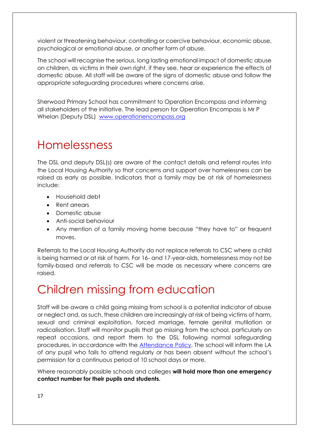violent or threatening behaviour, controlling or coercive behaviour, economic abuse, psychological or emotional abuse, or another form of abuse.

The school will recognise the serious, long lasting emotional impact of domestic abuse on children, as victims in their own right, if they see, hear or experience the effects of domestic abuse. All staff will be aware of the signs of domestic abuse and follow the appropriate safeguarding procedures where concerns arise.

Sherwood Primary School has commitment to Operation Encompass and informing all stakeholders of the initiative. The lead person for Operation Encompass is Mr P Whelan (Deputy DSL) [www.operationencompass.org](http://www.operationencompass.org/)

# Homelessness

The DSL and deputy DSL(s) are aware of the contact details and referral routes into the Local Housing Authority so that concerns and support over homelessness can be raised as early as possible. Indicators that a family may be at risk of homelessness include:

- Household debt
- Rent arrears
- Domestic abuse
- Anti-social behaviour
- Any mention of a family moving home because "they have to" or frequent moves.

Referrals to the Local Housing Authority do not replace referrals to CSC where a child is being harmed or at risk of harm. For 16- and 17-year-olds, homelessness may not be family-based and referrals to CSC will be made as necessary where concerns are raised.

# Children missing from education

Staff will be aware a child going missing from school is a potential indicator of abuse or neglect and, as such, these children are increasingly at risk of being victims of harm, sexual and criminal exploitation, forced marriage, female genital mutilation or radicalisation. Staff will monitor pupils that go missing from the school, particularly on repeat occasions, and report them to the DSL following normal safeguarding procedures, in accordance with the [Attendance Policy.](http://www.sherwood.lancs.sch.uk/serve_file/1686069) The school will inform the LA of any pupil who fails to attend regularly or has been absent without the school's permission for a continuous period of 10 school days or more.

Where reasonably possible schools and colleges **will hold more than one emergency contact number for their pupils and students.**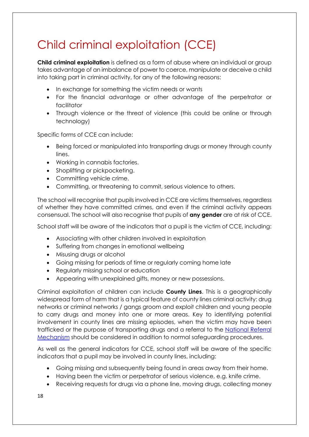# Child criminal exploitation (CCE)

**Child criminal exploitation** is defined as a form of abuse where an individual or group takes advantage of an imbalance of power to coerce, manipulate or deceive a child into taking part in criminal activity, for any of the following reasons:

- In exchange for something the victim needs or wants
- For the financial advantage or other advantage of the perpetrator or facilitator
- Through violence or the threat of violence (this could be online or through technology)

Specific forms of CCE can include:

- Being forced or manipulated into transporting drugs or money through county lines.
- Working in cannabis factories.
- Shoplifting or pickpocketing.
- Committing vehicle crime.
- Committing, or threatening to commit, serious violence to others.

The school will recognise that pupils involved in CCE are victims themselves, regardless of whether they have committed crimes, and even if the criminal activity appears consensual. The school will also recognise that pupils of **any gender** are at risk of CCE.

School staff will be aware of the indicators that a pupil is the victim of CCE, including:

- Associating with other children involved in exploitation
- Suffering from changes in emotional wellbeing
- Misusing drugs or alcohol
- Going missing for periods of time or regularly coming home late
- Regularly missing school or education
- Appearing with unexplained gifts, money or new possessions.

Criminal exploitation of children can include **County Lines**. This is a geographically widespread form of harm that is a typical feature of county lines criminal activity: drug networks or criminal networks / gangs groom and exploit children and young people to carry drugs and money into one or more areas. Key to identifying potential involvement in county lines are missing episodes, when the victim may have been trafficked or the purpose of transporting drugs and a referral to the [National Referral](https://www.gov.uk/government/publications/human-trafficking-victims-referral-and-assessment-forms/guidance-on-the-national-referral-mechanism-for-potential-adult-victims-of-modern-slavery-england-and-wales#what-the-national-referral-mechanism-is)  [Mechanism](https://www.gov.uk/government/publications/human-trafficking-victims-referral-and-assessment-forms/guidance-on-the-national-referral-mechanism-for-potential-adult-victims-of-modern-slavery-england-and-wales#what-the-national-referral-mechanism-is) should be considered in addition to normal safeguarding procedures.

As well as the general indicators for CCE, school staff will be aware of the specific indicators that a pupil may be involved in county lines, including:

- Going missing and subsequently being found in areas away from their home.
- Having been the victim or perpetrator of serious violence, e.g. knife crime.
- Receiving requests for drugs via a phone line, moving drugs, collecting money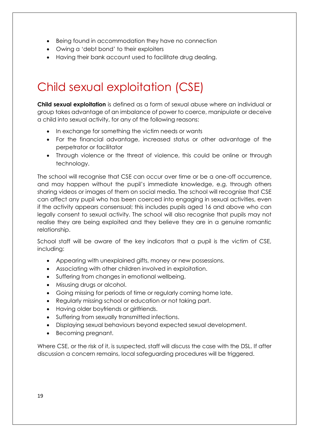- Being found in accommodation they have no connection
- Owing a 'debt bond' to their exploiters
- Having their bank account used to facilitate drug dealing.

# Child sexual exploitation (CSE)

**Child sexual exploitation** is defined as a form of sexual abuse where an individual or group takes advantage of an imbalance of power to coerce, manipulate or deceive a child into sexual activity, for any of the following reasons:

- In exchange for something the victim needs or wants
- For the financial advantage, increased status or other advantage of the perpetrator or facilitator
- Through violence or the threat of violence, this could be online or through technology.

The school will recognise that CSE can occur over time or be a one-off occurrence, and may happen without the pupil's immediate knowledge, e.g. through others sharing videos or images of them on social media. The school will recognise that CSE can affect any pupil who has been coerced into engaging in sexual activities, even if the activity appears consensual; this includes pupils aged 16 and above who can legally consent to sexual activity. The school will also recognise that pupils may not realise they are being exploited and they believe they are in a genuine romantic relationship.

School staff will be aware of the key indicators that a pupil is the victim of CSE, including:

- Appearing with unexplained gifts, money or new possessions.
- Associating with other children involved in exploitation.
- Suffering from changes in emotional wellbeing.
- Misusing drugs or alcohol.
- Going missing for periods of time or regularly coming home late.
- Regularly missing school or education or not taking part.
- Having older boyfriends or girlfriends.
- Suffering from sexually transmitted infections.
- Displaying sexual behaviours beyond expected sexual development.
- Becoming pregnant.

Where CSE, or the risk of it, is suspected, staff will discuss the case with the DSL. If after discussion a concern remains, local safeguarding procedures will be triggered.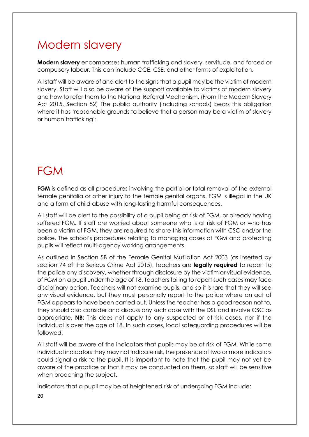### Modern slavery

**Modern slavery** encompasses human trafficking and slavery, servitude, and forced or compulsory labour. This can include CCE, CSE, and other forms of exploitation.

All staff will be aware of and alert to the signs that a pupil may be the victim of modern slavery. Staff will also be aware of the support available to victims of modern slavery and how to refer them to the National Referral Mechanism. (From The Modern Slavery Act 2015, Section 52) The public authority (including schools) bears this obligation where it has 'reasonable grounds to believe that a person may be a victim of slavery or human trafficking':

# FGM

**FGM** is defined as all procedures involving the partial or total removal of the external female genitalia or other injury to the female genital organs. FGM is illegal in the UK and a form of child abuse with long-lasting harmful consequences.

All staff will be alert to the possibility of a pupil being at risk of FGM, or already having suffered FGM. If staff are worried about someone who is at risk of FGM or who has been a victim of FGM, they are required to share this information with CSC and/or the police. The school's procedures relating to managing cases of FGM and protecting pupils will reflect multi-agency working arrangements.

As outlined in Section 5B of the Female Genital Mutilation Act 2003 (as inserted by section 74 of the Serious Crime Act 2015), teachers are **legally required** to report to the police any discovery, whether through disclosure by the victim or visual evidence, of FGM on a pupil under the age of 18. Teachers failing to report such cases may face disciplinary action. Teachers will not examine pupils, and so it is rare that they will see any visual evidence, but they must personally report to the police where an act of FGM appears to have been carried out. Unless the teacher has a good reason not to, they should also consider and discuss any such case with the DSL and involve CSC as appropriate. **NB:** This does not apply to any suspected or at-risk cases, nor if the individual is over the age of 18. In such cases, local safeguarding procedures will be followed.

All staff will be aware of the indicators that pupils may be at risk of FGM. While some individual indicators they may not indicate risk, the presence of two or more indicators could signal a risk to the pupil. It is important to note that the pupil may not yet be aware of the practice or that it may be conducted on them, so staff will be sensitive when broaching the subject.

Indicators that a pupil may be at heightened risk of undergoing FGM include: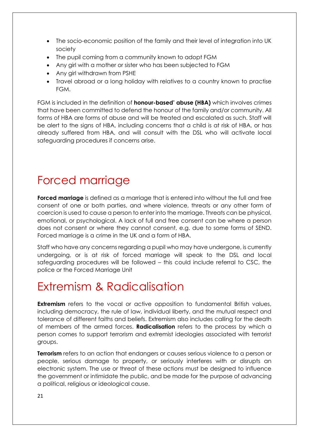- The socio-economic position of the family and their level of integration into UK society
- The pupil coming from a community known to adopt FGM
- Any girl with a mother or sister who has been subjected to FGM
- Any girl withdrawn from PSHE
- Travel abroad or a long holiday with relatives to a country known to practise FGM.

FGM is included in the definition of **honour-based' abuse (HBA)** which involves crimes that have been committed to defend the honour of the family and/or community. All forms of HBA are forms of abuse and will be treated and escalated as such. Staff will be alert to the signs of HBA, including concerns that a child is at risk of HBA, or has already suffered from HBA, and will consult with the DSL who will activate local safeguarding procedures if concerns arise.

### Forced marriage

**Forced marriage** is defined as a marriage that is entered into without the full and free consent of one or both parties, and where violence, threats or any other form of coercion is used to cause a person to enter into the marriage. Threats can be physical, emotional, or psychological. A lack of full and free consent can be where a person does not consent or where they cannot consent, e.g. due to some forms of SEND. Forced marriage is a crime in the UK and a form of HBA.

Staff who have any concerns regarding a pupil who may have undergone, is currently undergoing, or is at risk of forced marriage will speak to the DSL and local safeguarding procedures will be followed – this could include referral to CSC, the police or the Forced Marriage Unit

### Extremism & Radicalisation

**Extremism** refers to the vocal or active opposition to fundamental British values, including democracy, the rule of law, individual liberty, and the mutual respect and tolerance of different faiths and beliefs. Extremism also includes calling for the death of members of the armed forces. **Radicalisation** refers to the process by which a person comes to support terrorism and extremist ideologies associated with terrorist groups.

**Terrorism** refers to an action that endangers or causes serious violence to a person or people, serious damage to property, or seriously interferes with or disrupts an electronic system. The use or threat of these actions must be designed to influence the government or intimidate the public, and be made for the purpose of advancing a political, religious or ideological cause.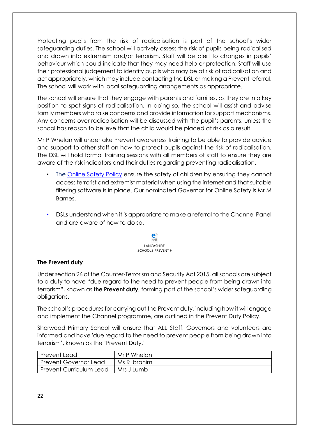Protecting pupils from the risk of radicalisation is part of the school's wider safeguarding duties. The school will actively assess the risk of pupils being radicalised and drawn into extremism and/or terrorism. Staff will be alert to changes in pupils' behaviour which could indicate that they may need help or protection. Staff will use their professional judgement to identify pupils who may be at risk of radicalisation and act appropriately, which may include contacting the DSL or making a Prevent referral. The school will work with local safeguarding arrangements as appropriate.

The school will ensure that they engage with parents and families, as they are in a key position to spot signs of radicalisation. In doing so, the school will assist and advise family members who raise concerns and provide information for support mechanisms. Any concerns over radicalisation will be discussed with the pupil's parents, unless the school has reason to believe that the child would be placed at risk as a result.

Mr P Whelan will undertake Prevent awareness training to be able to provide advice and support to other staff on how to protect pupils against the risk of radicalisation. The DSL will hold formal training sessions with all members of staff to ensure they are aware of the risk indicators and their duties regarding preventing radicalisation.

- The [Online Safety Policy](http://www.sherwood.lancs.sch.uk/page/online-safety/34061) ensure the safety of children by ensuring they cannot access terrorist and extremist material when using the internet and that suitable filtering software is in place. Our nominated Governor for Online Safety is Mr M Barnes.
- DSLs understand when it is appropriate to make a referral to the Channel Panel and are aware of how to do so.



### **The Prevent duty**

Under section 26 of the Counter-Terrorism and Security Act 2015, all schools are subject to a duty to have "due regard to the need to prevent people from being drawn into terrorism", known as **the Prevent duty,** forming part of the school's wider safeguarding obligations.

The school's procedures for carrying out the Prevent duty, including how it will engage and implement the Channel programme, are outlined in the Prevent Duty Policy.

Sherwood Primary School will ensure that ALL Staff, Governors and volunteers are informed and have 'due regard to the need to prevent people from being drawn into terrorism', known as the 'Prevent Duty.'

| Prevent Lead            | Mr P Whelan  |
|-------------------------|--------------|
| Prevent Governor Lead   | Ms R Ibrahim |
| Prevent Curriculum Lead | Mrs J Lumb   |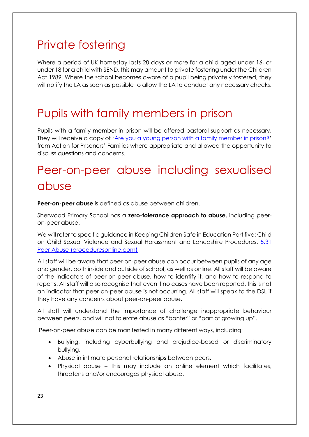# Private fostering

Where a period of UK homestay lasts 28 days or more for a child aged under 16, or under 18 for a child with SEND, this may amount to private fostering under the Children Act 1989. Where the school becomes aware of a pupil being privately fostered, they will notify the LA as soon as possible to allow the LA to conduct any necessary checks.

# Pupils with family members in prison

Pupils with a family member in prison will be offered pastoral support as necessary. They will receive a copy of '[Are you a young person with a family member in prison?](https://www.nicco.org.uk/directory-of-resources)' from Action for Prisoners' Families where appropriate and allowed the opportunity to discuss questions and concerns.

# Peer-on-peer abuse including sexualised abuse

**Peer-on-peer abuse** is defined as abuse between children.

Sherwood Primary School has a **zero-tolerance approach to abuse**, including peeron-peer abuse.

We will refer to specific guidance in Keeping Children Safe in Education Part five: Child on Child Sexual Violence and Sexual Harassment and Lancashire Procedures. [5.31](https://panlancashirescb.proceduresonline.com/chapters/p_peer_abuse.html)  [Peer Abuse \(proceduresonline.com\)](https://panlancashirescb.proceduresonline.com/chapters/p_peer_abuse.html)

All staff will be aware that peer-on-peer abuse can occur between pupils of any age and gender, both inside and outside of school, as well as online. All staff will be aware of the indicators of peer-on-peer abuse, how to identify it, and how to respond to reports. All staff will also recognise that even if no cases have been reported, this is not an indicator that peer-on-peer abuse is not occurring. All staff will speak to the DSL if they have any concerns about peer-on-peer abuse.

All staff will understand the importance of challenge inappropriate behaviour between peers, and will not tolerate abuse as "banter" or "part of growing up".

Peer-on-peer abuse can be manifested in many different ways, including:

- Bullying, including cyberbullying and prejudice-based or discriminatory bullying.
- Abuse in intimate personal relationships between peers.
- Physical abuse this may include an online element which facilitates, threatens and/or encourages physical abuse.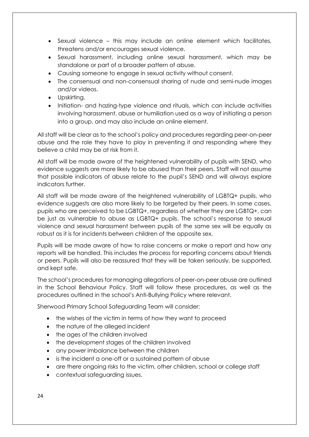- Sexual violence this may include an online element which facilitates, threatens and/or encourages sexual violence.
- Sexual harassment, including online sexual harassment, which may be standalone or part of a broader pattern of abuse.
- Causing someone to engage in sexual activity without consent.
- The consensual and non-consensual sharing of nude and semi-nude images and/or videos.
- Upskirting.
- Initiation- and hazing-type violence and rituals, which can include activities involving harassment, abuse or humiliation used as a way of initiating a person into a group, and may also include an online element.

All staff will be clear as to the school's policy and procedures regarding peer-on-peer abuse and the role they have to play in preventing it and responding where they believe a child may be at risk from it.

All staff will be made aware of the heightened vulnerability of pupils with SEND, who evidence suggests are more likely to be abused than their peers. Staff will not assume that possible indicators of abuse relate to the pupil's SEND and will always explore indicators further.

All staff will be made aware of the heightened vulnerability of LGBTQ+ pupils, who evidence suggests are also more likely to be targeted by their peers. In some cases, pupils who are perceived to be LGBTQ+, regardless of whether they are LGBTQ+, can be just as vulnerable to abuse as LGBTQ+ pupils. The school's response to sexual violence and sexual harassment between pupils of the same sex will be equally as robust as it is for incidents between children of the opposite sex.

Pupils will be made aware of how to raise concerns or make a report and how any reports will be handled. This includes the process for reporting concerns about friends or peers. Pupils will also be reassured that they will be taken seriously, be supported, and kept safe.

The school's procedures for managing allegations of peer-on-peer abuse are outlined in the School Behaviour Policy. Staff will follow these procedures, as well as the procedures outlined in the school's Anti-Bullying Policy where relevant.

Sherwood Primary School Safeguarding Team will consider:

- the wishes of the victim in terms of how they want to proceed
- the nature of the alleged incident
- the ages of the children involved
- the development stages of the children involved
- any power imbalance between the children
- is the incident a one-off or a sustained pattern of abuse
- are there ongoing risks to the victim, other children, school or college staff
- contextual safeguarding issues.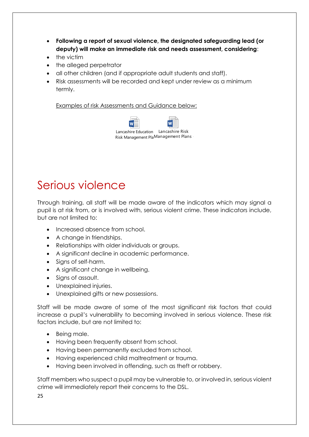- **Following a report of sexual violence, the designated safeguarding lead (or deputy) will make an immediate risk and needs assessment, considering**:
- the victim
- the alleged perpetrator
- all other children (and if appropriate adult students and staff).
- Risk assessments will be recorded and kept under review as a minimum termly.

Examples of risk Assessments and Guidance below:

Lancashire Education Lancashire Risk Risk Management PlaManagement Plans -

### Serious violence

Through training, all staff will be made aware of the indicators which may signal a pupil is at risk from, or is involved with, serious violent crime. These indicators include, but are not limited to:

- Increased absence from school.
- A change in friendships.
- Relationships with older individuals or groups.
- A significant decline in academic performance.
- Signs of self-harm.
- A significant change in wellbeing.
- Signs of assault.
- Unexplained injuries.
- Unexplained gifts or new possessions.

Staff will be made aware of some of the most significant risk factors that could increase a pupil's vulnerability to becoming involved in serious violence. These risk factors include, but are not limited to:

- Being male.
- Having been frequently absent from school.
- Having been permanently excluded from school.
- Having experienced child maltreatment or trauma.
- Having been involved in offending, such as theft or robbery.

Staff members who suspect a pupil may be vulnerable to, or involved in, serious violent crime will immediately report their concerns to the DSL.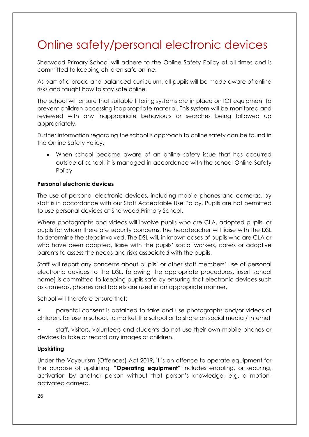# Online safety/personal electronic devices

Sherwood Primary School will adhere to the Online Safety Policy at all times and is committed to keeping children safe online.

As part of a broad and balanced curriculum, all pupils will be made aware of online risks and taught how to stay safe online.

The school will ensure that suitable filtering systems are in place on ICT equipment to prevent children accessing inappropriate material. This system will be monitored and reviewed with any inappropriate behaviours or searches being followed up appropriately.

Further information regarding the school's approach to online safety can be found in the Online Safety Policy.

• When school become aware of an online safety issue that has occurred outside of school, it is managed in accordance with the school Online Safety **Policy** 

#### **Personal electronic devices**

The use of personal electronic devices, including mobile phones and cameras, by staff is in accordance with our Staff Acceptable Use Policy. Pupils are not permitted to use personal devices at Sherwood Primary School.

Where photographs and videos will involve pupils who are CLA, adopted pupils, or pupils for whom there are security concerns, the headteacher will liaise with the DSL to determine the steps involved. The DSL will, in known cases of pupils who are CLA or who have been adopted, liaise with the pupils' social workers, carers or adoptive parents to assess the needs and risks associated with the pupils.

Staff will report any concerns about pupils' or other staff members' use of personal electronic devices to the DSL, following the appropriate procedures. insert school name] is committed to keeping pupils safe by ensuring that electronic devices such as cameras, phones and tablets are used in an appropriate manner.

School will therefore ensure that:

• parental consent is obtained to take and use photographs and/or videos of children, for use in school, to market the school or to share on social media / internet

• staff, visitors, volunteers and students do not use their own mobile phones or devices to take or record any images of children.

#### **Upskirting**

Under the Voyeurism (Offences) Act 2019, it is an offence to operate equipment for the purpose of upskirting. **"Operating equipment"** includes enabling, or securing, activation by another person without that person's knowledge, e.g. a motionactivated camera.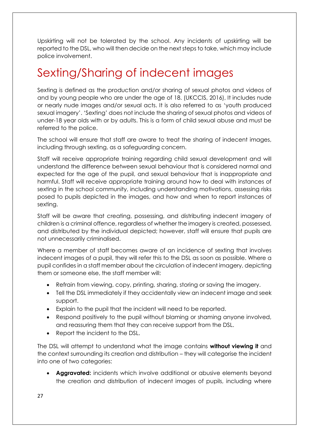Upskirting will not be tolerated by the school. Any incidents of upskirting will be reported to the DSL, who will then decide on the next steps to take, which may include police involvement.

# Sexting/Sharing of indecent images

Sexting is defined as the production and/or sharing of sexual photos and videos of and by young people who are under the age of 18. (UKCCIS, 2016), It includes nude or nearly nude images and/or sexual acts. It is also referred to as 'youth produced sexual imagery'. 'Sexting' does not include the sharing of sexual photos and videos of under-18 year olds with or by adults. This is a form of child sexual abuse and must be referred to the police.

The school will ensure that staff are aware to treat the sharing of indecent images, including through sexting, as a safeguarding concern.

Staff will receive appropriate training regarding child sexual development and will understand the difference between sexual behaviour that is considered normal and expected for the age of the pupil, and sexual behaviour that is inappropriate and harmful. Staff will receive appropriate training around how to deal with instances of sexting in the school community, including understanding motivations, assessing risks posed to pupils depicted in the images, and how and when to report instances of sexting.

Staff will be aware that creating, possessing, and distributing indecent imagery of children is a criminal offence, regardless of whether the imagery is created, possessed, and distributed by the individual depicted; however, staff will ensure that pupils are not unnecessarily criminalised.

Where a member of staff becomes aware of an incidence of sexting that involves indecent images of a pupil, they will refer this to the DSL as soon as possible. Where a pupil confides in a staff member about the circulation of indecent imagery, depicting them or someone else, the staff member will:

- Refrain from viewing, copy, printing, sharing, storing or saving the imagery.
- Tell the DSL immediately if they accidentally view an indecent image and seek support.
- Explain to the pupil that the incident will need to be reported.
- Respond positively to the pupil without blaming or shaming anyone involved, and reassuring them that they can receive support from the DSL.
- Report the incident to the DSL.

The DSL will attempt to understand what the image contains **without viewing it** and the context surrounding its creation and distribution – they will categorise the incident into one of two categories:

• **Aggravated:** incidents which involve additional or abusive elements beyond the creation and distribution of indecent images of pupils, including where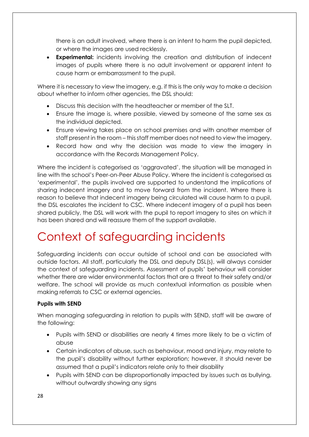there is an adult involved, where there is an intent to harm the pupil depicted, or where the images are used recklessly.

**Experimental:** incidents involving the creation and distribution of indecent images of pupils where there is no adult involvement or apparent intent to cause harm or embarrassment to the pupil.

Where it is necessary to view the imagery, e.g. if this is the only way to make a decision about whether to inform other agencies, the DSL should:

- Discuss this decision with the headteacher or member of the SLT.
- Ensure the image is, where possible, viewed by someone of the same sex as the individual depicted.
- Ensure viewing takes place on school premises and with another member of staff present in the room – this staff member does not need to view the imagery.
- Record how and why the decision was made to view the imagery in accordance with the Records Management Policy.

Where the incident is categorised as 'aggravated', the situation will be managed in line with the school's Peer-on-Peer Abuse Policy. Where the incident is categorised as 'experimental', the pupils involved are supported to understand the implications of sharing indecent imagery and to move forward from the incident. Where there is reason to believe that indecent imagery being circulated will cause harm to a pupil, the DSL escalates the incident to CSC. Where indecent imagery of a pupil has been shared publicly, the DSL will work with the pupil to report imagery to sites on which it has been shared and will reassure them of the support available.

# Context of safeguarding incidents

Safeguarding incidents can occur outside of school and can be associated with outside factors. All staff, particularly the DSL and deputy DSL(s), will always consider the context of safeguarding incidents. Assessment of pupils' behaviour will consider whether there are wider environmental factors that are a threat to their safety and/or welfare. The school will provide as much contextual information as possible when making referrals to CSC or external agencies.

### **Pupils with SEND**

When managing safeguarding in relation to pupils with SEND, staff will be aware of the following:

- Pupils with SEND or disabilities are nearly 4 times more likely to be a victim of abuse
- Certain indicators of abuse, such as behaviour, mood and injury, may relate to the pupil's disability without further exploration; however, it should never be assumed that a pupil's indicators relate only to their disability
- Pupils with SEND can be disproportionally impacted by issues such as bullying, without outwardly showing any signs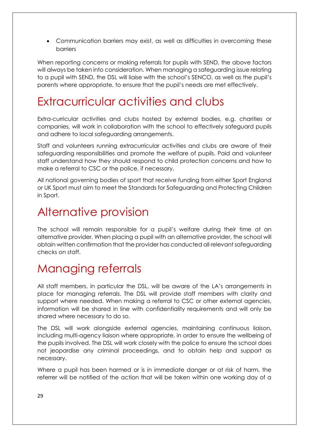• Communication barriers may exist, as well as difficulties in overcoming these barriers

When reporting concerns or making referrals for pupils with SEND, the above factors will always be taken into consideration. When managing a safeguarding issue relating to a pupil with SEND, the DSL will liaise with the school's SENCO, as well as the pupil's parents where appropriate, to ensure that the pupil's needs are met effectively.

### Extracurricular activities and clubs

Extra-curricular activities and clubs hosted by external bodies, e.g. charities or companies, will work in collaboration with the school to effectively safeguard pupils and adhere to local safeguarding arrangements.

Staff and volunteers running extracurricular activities and clubs are aware of their safeguarding responsibilities and promote the welfare of pupils. Paid and volunteer staff understand how they should respond to child protection concerns and how to make a referral to CSC or the police, if necessary.

All national governing bodies of sport that receive funding from either Sport England or UK Sport must aim to meet the Standards for Safeguarding and Protecting Children in Sport.

### Alternative provision

The school will remain responsible for a pupil's welfare during their time at an alternative provider. When placing a pupil with an alternative provider, the school will obtain written confirmation that the provider has conducted all relevant safeguarding checks on staff.

# Managing referrals

All staff members, in particular the DSL, will be aware of the LA's arrangements in place for managing referrals. The DSL will provide staff members with clarity and support where needed. When making a referral to CSC or other external agencies, information will be shared in line with confidentiality requirements and will only be shared where necessary to do so.

The DSL will work alongside external agencies, maintaining continuous liaison, including multi-agency liaison where appropriate, in order to ensure the wellbeing of the pupils involved. The DSL will work closely with the police to ensure the school does not jeopardise any criminal proceedings, and to obtain help and support as necessary.

Where a pupil has been harmed or is in immediate danger or at risk of harm, the referrer will be notified of the action that will be taken within one working day of a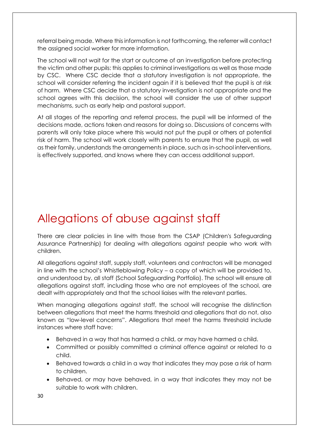referral being made. Where this information is not forthcoming, the referrer will contact the assigned social worker for more information.

The school will not wait for the start or outcome of an investigation before protecting the victim and other pupils: this applies to criminal investigations as well as those made by CSC. Where CSC decide that a statutory investigation is not appropriate, the school will consider referring the incident again if it is believed that the pupil is at risk of harm. Where CSC decide that a statutory investigation is not appropriate and the school agrees with this decision, the school will consider the use of other support mechanisms, such as early help and pastoral support.

At all stages of the reporting and referral process, the pupil will be informed of the decisions made, actions taken and reasons for doing so. Discussions of concerns with parents will only take place where this would not put the pupil or others at potential risk of harm. The school will work closely with parents to ensure that the pupil, as well as their family, understands the arrangements in place, such as in-school interventions, is effectively supported, and knows where they can access additional support.

# Allegations of abuse against staff

There are clear policies in line with those from the CSAP (Children's Safeguarding Assurance Partnership) for dealing with allegations against people who work with children.

All allegations against staff, supply staff, volunteers and contractors will be managed in line with the school's Whistleblowing Policy – a copy of which will be provided to, and understood by, all staff (School Safeguarding Portfolio). The school will ensure all allegations against staff, including those who are not employees of the school, are dealt with appropriately and that the school liaises with the relevant parties.

When managing allegations against staff, the school will recognise the distinction between allegations that meet the harms threshold and allegations that do not, also known as "low-level concerns". Allegations that meet the harms threshold include instances where staff have:

- Behaved in a way that has harmed a child, or may have harmed a child.
- Committed or possibly committed a criminal offence against or related to a child.
- Behaved towards a child in a way that indicates they may pose a risk of harm to children.
- Behaved, or may have behaved, in a way that indicates they may not be suitable to work with children.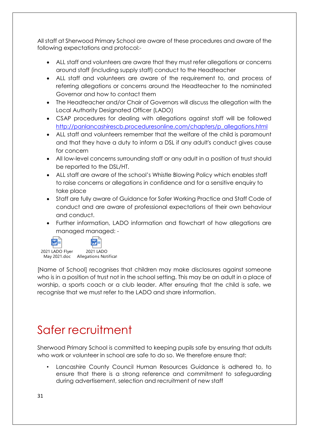All staff at Sherwood Primary School are aware of these procedures and aware of the following expectations and protocol:-

- ALL staff and volunteers are aware that they must refer allegations or concerns around staff (including supply staff) conduct to the Headteacher
- ALL staff and volunteers are aware of the requirement to, and process of referring allegations or concerns around the Headteacher to the nominated Governor and how to contact them
- The Headteacher and/or Chair of Governors will discuss the allegation with the Local Authority Designated Officer (LADO)
- CSAP procedures for dealing with allegations against staff will be followed [http://panlancashirescb.proceduresonline.com/chapters/p\\_allegations.html](http://panlancashirescb.proceduresonline.com/chapters/p_allegations.html)
- ALL staff and volunteers remember that the welfare of the child is paramount and that they have a duty to inform a DSL if any adult's conduct gives cause for concern
- All low-level concerns surrounding staff or any adult in a position of trust should be reported to the DSL/HT.
- ALL staff are aware of the school's Whistle Blowing Policy which enables staff to raise concerns or allegations in confidence and for a sensitive enquiry to take place
- Staff are fully aware of Guidance for Safer Working Practice and Staff Code of conduct and are aware of professional expectations of their own behaviour and conduct.
- Further information, LADO information and flowchart of how allegations are managed managed: -



2021 LADO Flyer May 2021.doc Allegations Notificat 2021 LADO

[Name of School] recognises that children may make disclosures against someone who is in a position of trust not in the school setting. This may be an adult in a place of worship, a sports coach or a club leader. After ensuring that the child is safe, we recognise that we must refer to the LADO and share information.

# Safer recruitment

Sherwood Primary School is committed to keeping pupils safe by ensuring that adults who work or volunteer in school are safe to do so. We therefore ensure that:

• Lancashire County Council Human Resources Guidance is adhered to, to ensure that there is a strong reference and commitment to safeguarding during advertisement, selection and recruitment of new staff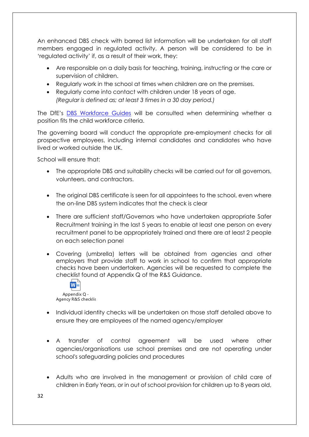An enhanced DBS check with barred list information will be undertaken for all staff members engaged in regulated activity. A person will be considered to be in 'regulated activity' if, as a result of their work, they:

- Are responsible on a daily basis for teaching, training, instructing or the care or supervision of children.
- Regularly work in the school at times when children are on the premises.
- Regularly come into contact with children under 18 years of age. *(Regular is defined as; at least 3 times in a 30 day period.)*

The DfE's [DBS Workforce Guides](https://www.gov.uk/government/publications/dbs-workforce-guidance) will be consulted when determining whether a position fits the child workforce criteria.

The governing board will conduct the appropriate pre-employment checks for all prospective employees, including internal candidates and candidates who have lived or worked outside the UK.

School will ensure that:

- The appropriate DBS and suitability checks will be carried out for all governors, volunteers, and contractors.
- The original DBS certificate is seen for all appointees to the school, even where the on-line DBS system indicates that the check is clear
- There are sufficient staff/Governors who have undertaken appropriate Safer Recruitment training in the last 5 years to enable at least one person on every recruitment panel to be appropriately trained and there are at least 2 people on each selection panel
- Covering (umbrella) letters will be obtained from agencies and other employers that provide staff to work in school to confirm that appropriate checks have been undertaken. Agencies will be requested to complete the checklist found at Appendix Q of the R&S Guidance.



- Individual identity checks will be undertaken on those staff detailed above to ensure they are employees of the named agency/employer
- A transfer of control agreement will be used where other agencies/organisations use school premises and are not operating under school's safeguarding policies and procedures
- Adults who are involved in the management or provision of child care of children in Early Years, or in out of school provision for children up to 8 years old,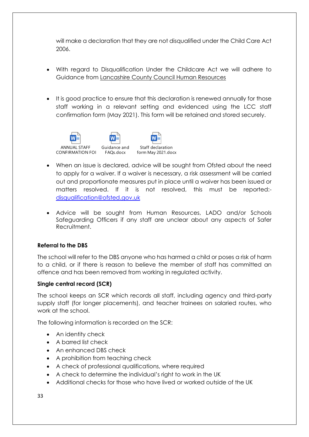will make a declaration that they are not disqualified under the Child Care Act 2006.

- With regard to Disqualification Under the Childcare Act we will adhere to Guidance from [Lancashire County Council Human Resources](file://///CorpData01/LCCUsers4$/vwallace001/My%20Documents/For%20portal/•%09https:/schoolsportal.lancsngfl.ac.uk/view_sp.asp%3fsiteid=4311&pageid=45826&e=e)
- It is good practice to ensure that this declaration is renewed annually for those staff working in a relevant setting and evidenced using the LCC staff confirmation form (May 2021). This form will be retained and stored securely.



- When an issue is declared, advice will be sought from Ofsted about the need to apply for a waiver. If a waiver is necessary, a risk assessment will be carried out and proportionate measures put in place until a waiver has been issued or matters resolved. If it is not resolved, this must be reported: [disqualification@ofsted.gov.uk](mailto:disqualification@ofsted.gov.uk)
- Advice will be sought from Human Resources, LADO and/or Schools Safeguarding Officers if any staff are unclear about any aspects of Safer Recruitment.

#### **Referral to the DBS**

The school will refer to the DBS anyone who has harmed a child or poses a risk of harm to a child, or if there is reason to believe the member of staff has committed an offence and has been removed from working in regulated activity.

#### **Single central record (SCR)**

The school keeps an SCR which records all staff, including agency and third-party supply staff (for longer placements), and teacher trainees on salaried routes, who work at the school.

The following information is recorded on the SCR:

- An identity check
- A barred list check
- An enhanced DBS check
- A prohibition from teaching check
- A check of professional qualifications, where required
- A check to determine the individual's right to work in the UK
- Additional checks for those who have lived or worked outside of the UK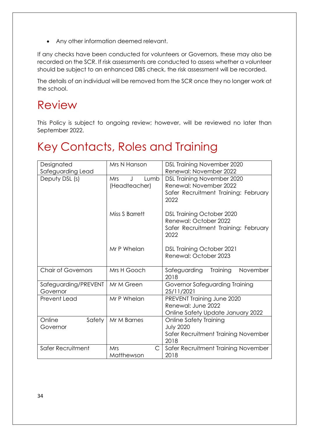• Any other information deemed relevant.

If any checks have been conducted for volunteers or Governors, these may also be recorded on the SCR. If risk assessments are conducted to assess whether a volunteer should be subject to an enhanced DBS check, the risk assessment will be recorded.

The details of an individual will be removed from the SCR once they no longer work at the school.

### Review

This Policy is subject to ongoing review; however, will be reviewed no later than September 2022.

# Key Contacts, Roles and Training

| Designated                       | Mrs N Hanson                  | <b>DSL Training November 2020</b>                                                                         |
|----------------------------------|-------------------------------|-----------------------------------------------------------------------------------------------------------|
| Safeguarding Lead                |                               | Renewal: November 2022                                                                                    |
| Deputy DSL (s)                   | <b>Mrs</b><br>Lumb<br>$\cdot$ | <b>DSL Training November 2020</b>                                                                         |
|                                  | (Headteacher)                 | Renewal: November 2022                                                                                    |
|                                  |                               | Safer Recruitment Training: February<br>2022                                                              |
|                                  | Miss S Barrett                | <b>DSL Training October 2020</b><br>Renewal: October 2022<br>Safer Recruitment Training: February<br>2022 |
|                                  | Mr P Whelan                   | <b>DSL Training October 2021</b><br>Renewal: October 2023                                                 |
| <b>Chair of Governors</b>        | Mrs H Gooch                   | Safeguarding<br>Training<br>November<br>2018                                                              |
| Safeguarding/PREVENT<br>Governor | Mr M Green                    | Governor Safeguarding Training<br>25/11/2021                                                              |
| Prevent Lead                     | Mr P Whelan                   | PREVENT Training June 2020                                                                                |
|                                  |                               | Renewal: June 2022                                                                                        |
|                                  |                               | Online Safety Update January 2022                                                                         |
| Online<br>Safety                 | Mr M Barnes                   | <b>Online Safety Training</b>                                                                             |
| Governor                         |                               | <b>July 2020</b>                                                                                          |
|                                  |                               | Safer Recruitment Training November                                                                       |
|                                  |                               | 2018                                                                                                      |
| Safer Recruitment<br>Mrs<br>С    |                               | Safer Recruitment Training November                                                                       |
|                                  | Matthewson                    | 2018                                                                                                      |